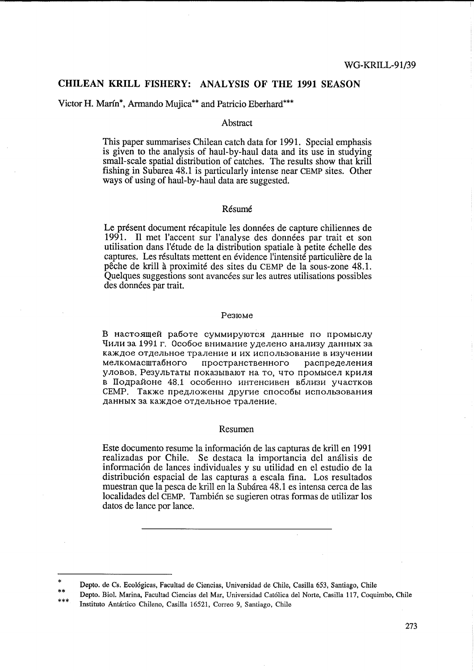## CHILEAN KRILL FISHERY: ANALYSIS OF THE 1991 SEASON

Victor H. Marín\*, Armando Mujica\*\* and Patricio Eberhard\*\*\*

### Abstract

This paper summarises Chilean catch data for 1991. Special emphasis is given to the analysis of haul-by-haul data and its use in studying small-scale spatial distribution of catches. The results show that krill fishing in Subarea 48.1 is particularly intense near CEMP sites. Other ways of using of haul-by-haul data are suggested.

## Résumé

Le présent document récapitule les données de capture chiliennes de 1991. Il met l'accent sur l'analyse des données par trait et son utilisation dans l'étude de la distribution spatiale à petite échelle des captures. Les résultats mettent en évidence l'intensité particulière de la pêche de krill à proximité des sites du CEMP de la sous-zone 48.1. Quelques suggestions sont avancées sur les autres utilisations possibles des données par trait.

#### Резюме

В настоящей работе суммируются данные по промыслу Чили за 1991 г. Особое внимание уделено анализу данных за каждое отдельное траление и их использование в изучении мелкомасштабного пространственного распределения уловов. Результаты показывают на то, что промысел криля в Подрайоне 48.1 особенно интенсивен вблизи участков СЕМР. Также предложены другие способы использования данных за каждое отдельное траление.

### Resumen

Este documento resume la información de las capturas de krill en 1991 realizadas por Chile. Se destaca la importancia del análisis de información de lances individuales y su utilidad en el estudio de la distribución espacial de las capturas a escala fina. Los resultados muestran que la pesca de krill en la Subárea 48.1 es intensa cerca de las localidades del CEMP. También se sugieren otras formas de utilizar los datos de lance por lance.

Depto. de Cs. Ecológicas, Facultad de Ciencias, Universidad de Chile, Casilla 653, Santiago, Chile

Depto. Biol. Marina, Facultad Ciencias del Mar, Universidad Católica del Norte, Casilla 117, Coquimbo, Chile Instituto Antártico Chileno, Casilla 16521, Correo 9, Santiago, Chile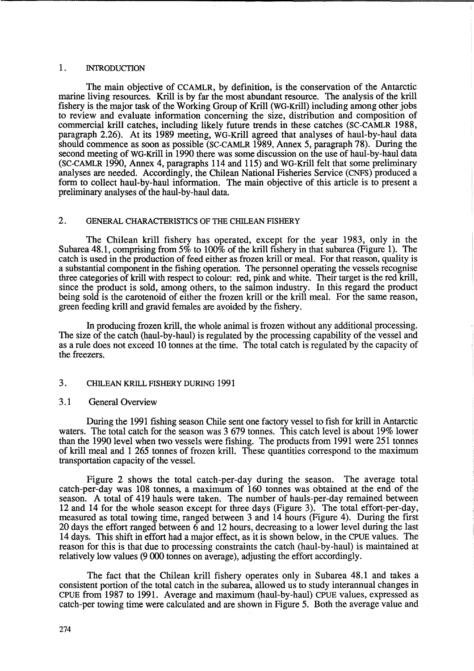## 1. INTRODUCTION

The main objective of CCAMLR, by definition, is the conservation of the Antarctic marine living resources. Krill is by far the most abundant resource. The analysis of the krill fishery is the major task of the Working Group of KriU (WG-KriU) including among other jobs to review and evaluate information concerning the size, distribution and composition of commercial kriU catches, including likely future trends in these catches (SC-CAMLR 1988, paragraph 2.26). At its 1989 meeting, WG-KriU agreed that analyses of haul-by-haul data should commence as soon as possible (SC-CAMLR 1989, Annex 5, paragraph 78). During the second meeting of WG-Krill in 1990 there was some discussion on the use of haul-by-haul data (SC-CAMLR 1990, Annex 4, paragraphs 114 and 115) and WG-KriU felt that some preliminary analyses are needed. Accordingly, the Chilean National Fisheries Service (CNFS) produced a form to collect haul-by-haul information. The main objective of this article is to present a preliminary analyses of the haul-by-haul data.

# 2. GENERAL CHARACTERISTICS OF THE CHILEAN FISHERY

The Chilean krill fishery has operated, except for the year 1983, only in the Subarea 48.1, comprising from  $5\%$  to  $100\%$  of the krill fishery in that subarea (Figure 1). The catch is used in the production of feed either as frozen krill or meal. For that reason, quality is a substantial component in the fishing operation. The personnel operating the vessels recognise three categories of krill with respect to colour: red, pink and white. Their target is the red krill, since the product is sold, among others, to the salmon industry. In this regard the product being sold is the carotenoid of either the frozen krill or the krill meal. For the same reason, green feeding krill and gravid females are avoided by the fishery.

In producing frozen krill, the whole animal is frozen without any additional processing. The size of the catch (haul-by-haul) is regulated by the processing capability of the vessel and as a rule does not exceed 10 tonnes at the time. The total catch is regulated by the capacity of the freezers.

## 3. CHILEAN KRILL FISHERY DURING 1991

#### 3.1 General Overview

During the 1991 fishing season Chile sent one factory vessel to fish for krill in Antarctic waters. The total catch for the season was 3679 tonnes. This catch level is about 19% lower than the 1990 level when two vessels were fishing. The products from 1991 were 251 tonnes of krill meal and 1 265 tonnes of frozen krill. These quantities correspond to the maximum transportation capacity of the vessel.

Figure 2 shows the total catch-per-day during the season. The average total catch-per-day was 108 tonnes, a maximum of 160 tonnes was obtained at the end of the season. A total of 419 hauls were taken. The number of hauls-per-day remained between 12 and 14 for the whole season except for three days (Figure 3). The total effort-per-day, measured as total towing time, ranged between 3 and 14 hours (Figure 4). During the first 20 days the effort ranged between 6 and 12 hours, decreasing to a lower level during the last 14 days. This shift in effort had a major effect, as it is shown below, in the CPUE values. The reason for this is that due to processing constraints the catch (haul-by-haul) is maintained at relatively low values (9 000 tonnes on average), adjusting the effort accordingly.

The fact that the Chilean krill fishery operates only in Subarea 48.1 and takes a consistent portion of the total catch in the subarea, allowed us to study interannual changes in CPUE from 1987 to 1991. Average and maximum (haul-by-haul) CPUE values, expressed as catch-per towing time were calculated and are shown in Figure 5. Both the average value and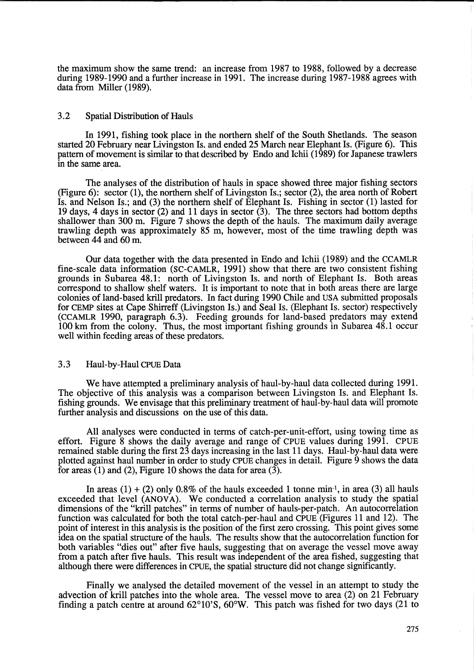the maximum show the same trend: an increase from 1987 to 1988, followed by a decrease during 1989-1990 and a further increase in 1991. The increase during 1987-1988 agrees with data from Miller (1989).

## 3.2 Spatial Distribution of Hauls

In 1991, fishing took place in the northern shelf of the South Shetlands. The season started 20 February near Livingston Is. and ended 25 March near Elephant Is. (Figure 6). This pattern of movement is similar to that described by Endo and Ichii (1989) for Japanese trawlers in the same area.

The analyses of the distribution of hauls in space showed three major fishing sectors (Figure 6): sector (1), the northern shelf of Livingston Is.; sector (2), the area north of Robert Is. and Nelson Is.; and (3) the northern shelf of Elephant Is. Fishing in sector (1) lasted for 19 days, 4 days in sector (2) and 11 days in sector (3). The three sectors had bottom depths shallower than 300 m. Figure 7 shows the depth of the hauls. The maximum daily average trawling depth was approximately 85 m, however, most of the time trawling depth was between 44 and 60 m.

Our data together with the data presented in Endo and Ichii (1989) and the CCAMLR fine-scale data information (SC-CAMLR, 1991) show that there are two consistent fishing grounds in Subarea 48.1: north of Livingston Is. and north of Elephant Is. Both areas correspond to shallow shelf waters. It is important to note that in both areas there are large colonies of land-based krill predators. In fact during 1990 Chile and USA submitted proposals for CEMP sites at Cape Shirreff (Livingston Is.) and Seal Is. (Elephant Is. sector) respectively (CCAMLR 1990, paragraph 6.3). Feeding grounds for land-based predators may extend 100 km from the colony. Thus, the most important fishing grounds in Subarea 48.1 occur well within feeding areas of these predators.

## 3.3 Haul-by-Haul CPUE Data

We have attempted a preliminary analysis of haul-by-haul data collected during 1991. The objective of this analysis was a comparison between Livingston Is. and Elephant Is. fishing grounds. We envisage that this preliminary treatment of haul-by-haul data will promote further analysis and discussions on the use of this data.

All analyses were conducted in terms of catch-per-unit-effort, using towing time as effort. Figure 8 shows the daily average and range of CPUE values during 1991. CPUE remained stable during the first 23 days increasing in the last 11 days. Haul-by-haul data were plotted against haul number in order to study CPUE changes in detail. Figure 9 shows the data for areas  $(1)$  and  $(2)$ , Figure 10 shows the data for area  $(3)$ .

In areas (1) + (2) only 0.8% of the hauls exceeded 1 tonne min<sup>-1</sup>, in area (3) all hauls exceeded that level (ANOVA). We conducted a correlation analysis to study the spatial dimensions of the "krill patches" in terms of number of hauls-per-patch. An autocorrelation function was calculated for both the total catch-per-haul and CPUE (Figures 11 and 12). The point of interest in this analysis is the position of the first zero crossing. This point gives some idea on the spatial structure of the hauls. The results show that the autocorrelation function for both variables "dies out" after five hauls, suggesting that on average the vessel move away from a patch after five hauls. This result was independent of the area fished, suggesting that although there were differences in CPUE, the spatial structure did not change significantly.

Finally we analysed the detailed movement of the vessel in an attempt to study the advection of kriU patches into the whole area. The vessel move to area (2) on 21 February finding a patch centre at around  $62^{\circ}10^{\circ}$ S,  $60^{\circ}$ W. This patch was fished for two days (21 to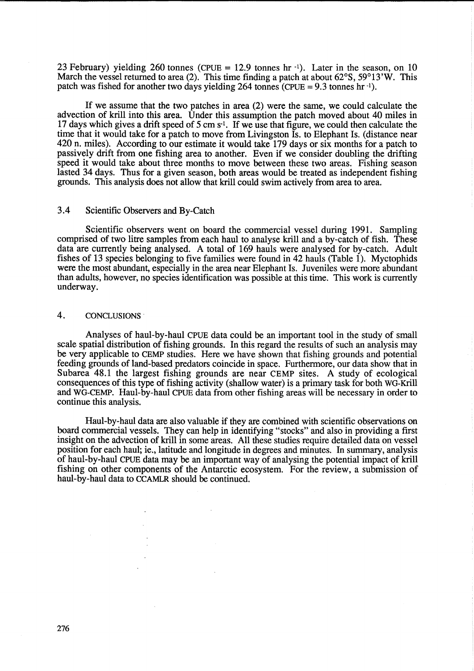23 February) yielding 260 tonnes (CPUE = 12.9 tonnes hr $^{-1}$ ). Later in the season, on 10 March the vessel returned to area (2). This time finding a patch at about 62°S, 59°13'W. This patch was fished for another two days yielding 264 tonnes (CPUE =  $9.3$  tonnes hr  $^{-1}$ ).

If we assume that the two patches in area (2) were the same, we could calculate the advection of krill into this area. Under this assumption the patch moved about 40 miles in 17 days which gives a drift speed of 5 cm s<sup>-1</sup>. If we use that figure, we could then calculate the time that it would take for a patch to move from Livingston Is. to Elephant Is. (distance near 420 n. miles). According to our estimate it would take 179 days or six months for a patch to passively drift from one fishing area to another. Even if we consider doubling the drifting speed it would take about three months to move between these two areas. Fishing season lasted 34 days. Thus for a given season, both areas would be treated as independent fishing grounds. This analysis does not allow that krill could swim actively from area to area.

## 3.4 Scientific Observers and By-Catch

Scientific observers went on board the commercial vessel during 1991. Sampling comprised of two litre samples from each haul to analyse krill and a by-catch of fish. These data are currently being analysed. A total of 169 hauls were analysed for by-catch. Adult fishes of l3 species belonging to five families were found in 42 hauls (Table 1). Myctophids were the most abundant, especially in the area near Elephant Is. Juveniles were more abundant than adults, however, no species identification was possible at this time. This work is currently underway.

### 4. CONCLUSIONS·

Analyses of haul-by-haul CPUE data could be an important tool in the study of small scale spatial distribution of fishing grounds. In this regard the results of such an analysis may be very applicable to CEMP studies. Here we have shown that fishing grounds and potential feeding grounds of land-based predators coincide in space. Furthermore, our data show that in Subarea 48.1 the largest fishing grounds are near CEMP sites. A study of ecological consequences of this type of fishing activity (shallow water) is a primary task for both WG-Krill and WG-CEMP. Haul-by-haul CPUE data from other fishing areas will be necessary in order to continue this analysis.

Haul-by-haul data are also valuable if they are combined with scientific observations on board commercial vessels. They can help in identifying "stocks" and also in providing a first insight on the advection of krill in some areas. All these studies require detailed data on vessel position for each haul; ie., latitude and longitude in degrees and minutes. In summary, analysis of haul-by-haul CPUE data may be an important way of analysing the potential impact of kriU fishing on other components of the Antarctic ecosystem. For the review, a submission of haul-by-haul data to CCAMLR should be continued.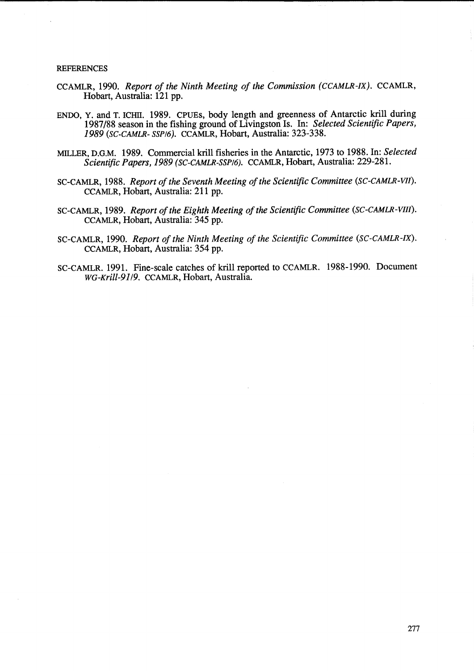### **REFERENCES**

- CCAMLR, 1990. *Report of the Ninth Meeting of the Commission (CCAMLR-IX).* CCAMLR, Hobart, Australia: 121 pp.
- ENDO, Y. and T. ICHII. 1989. CPUEs, body length and greenness of Antarctic kriU during 1987/88 season in the fishing ground of Livingston Is. In: *Selected Scientific Papers, 1989 (SC-CAMLR- SSP/6).* CCAMLR, Hobart, Australia: 323-338.
- MILLER, D.G.M. 1989. Commercial kriU fisheries in the Antarctic, 1973 to 1988. In: *Selected Scientific Papers,* 1989 *(SC-CAMLR-SSP/6).* CCAMLR, Hobart, Australia: 229-281.
- SC-CAMLR, 1988. *Report of the Seventh Meeting of the Scientific Committee (SC-CAMLR-VJI).*  CCAMLR, Hobart, Australia: 211 pp.
- SC-CAMLR, 1989. *Report of the Eighth Meeting of the Scientific Committee (SC-CAMLR-VIJI).*  CCAMLR, Hobart, Australia: 345 pp.
- SC-CAMLR, 1990. *Report of the Ninth Meeting of the Scientific Committee (SC-CAMLR-IX).*  CCAMLR, Hobart, Australia: 354 pp.
- SC-CAMLR. 1991. Fine-scale catches of kriU reported to CCAMLR. 1988-1990. Document *wG-Krill-91/9.* CCAMLR, Hobart, Australia.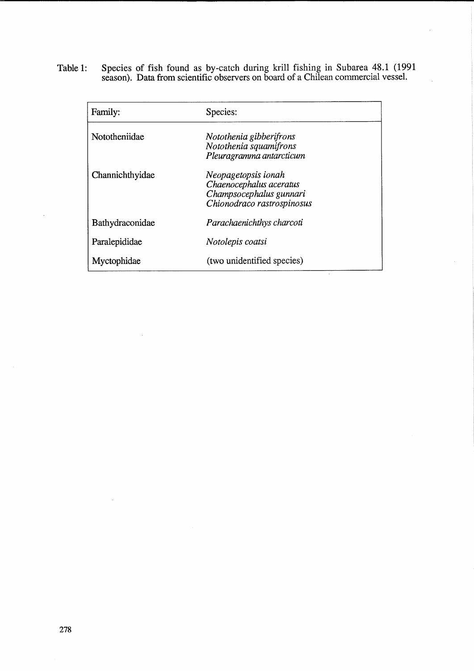Table 1: Species of fish found as by-catch during krill fishing in Subarea 48.1 (1991 season). Data from scientific observers on board of a Chilean commercial vessel.

| Family:         | Species:                                                                                                |
|-----------------|---------------------------------------------------------------------------------------------------------|
| Nototheniidae   | Notothenia gibberifrons<br>Notothenia squamifrons<br>Pleuragramma antarcticum                           |
| Channichthyidae | Neopagetopsis ionah<br>Chaenocephalus aceratus<br>Champsocephalus gunnari<br>Chionodraco rastrospinosus |
| Bathydraconidae | Parachaenichthys charcoti                                                                               |
| Paralepididae   | Notolepis coatsi                                                                                        |
| Myctophidae     | (two unidentified species)                                                                              |

 $\bar{z}$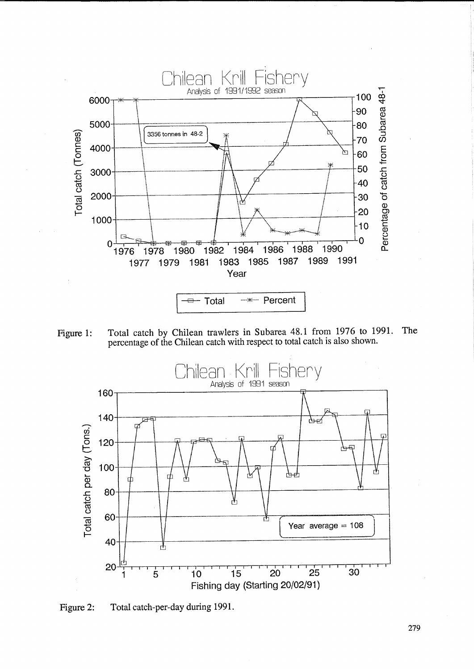

Figure 1: Total catch by Chilean trawlers in Subarea 48.1 from 1976 to 1991. The percentage of the Chilean catch with respect to total catch is also shown.



Figure 2: Total catch-per-day during 1991.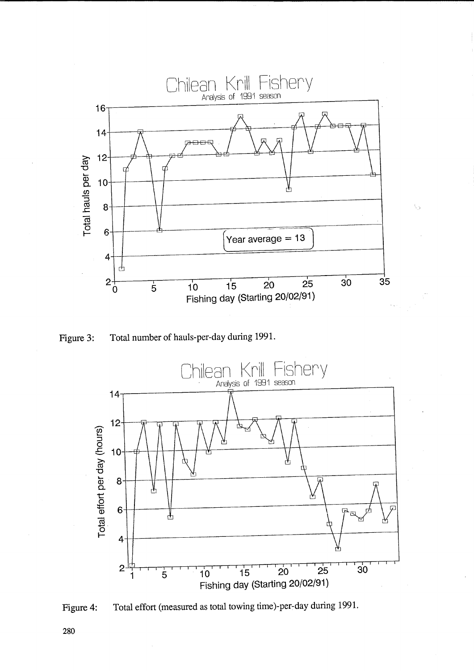

**Figure 3: Total number of hauls-per-day during 1991.** 



Figure 4: Total effort (measured as total towing time)-per-day during 1991.

**280**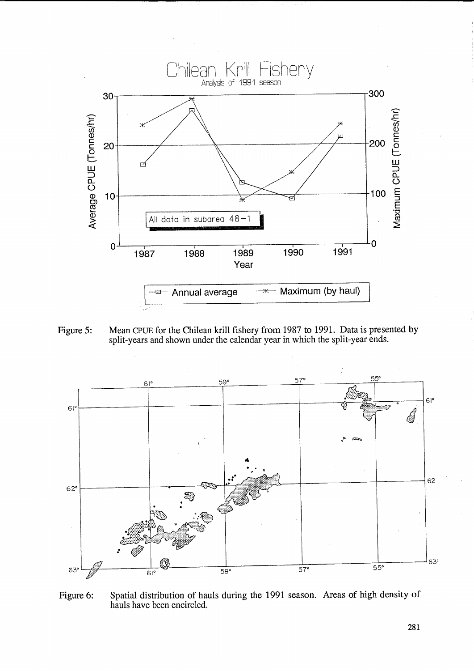

Figure 5: Mean CPUE for the Chilean krill fishery from 1987 to 1991. Data is presented by **split-years and shown under the calendar year in which the split-year ends.** 



**Figure 6: Spatial distribution of hauls during the 1991 season. Areas of high density of hauls have been encircled.**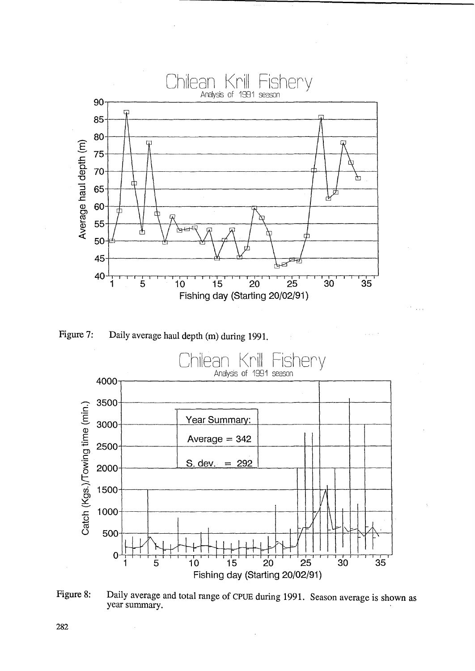





Figure 8: Daily average and total range of CPUE during 1991. Season average is shown as year summary.

282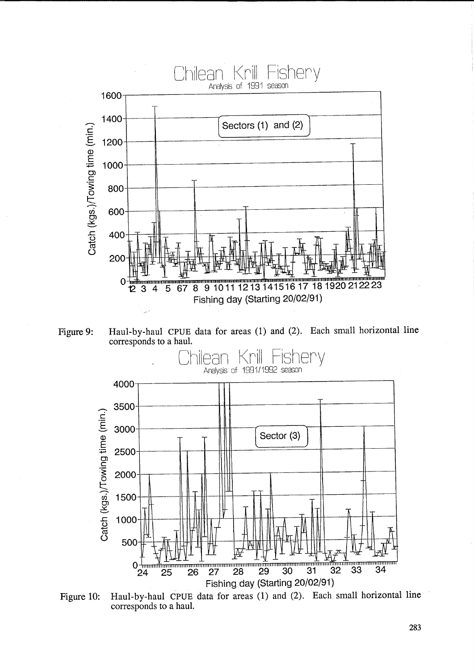

Haul-by-haul CPUE data for areas (1) and (2). Each small horizontal line Figure 9: corresponds to a haul.



Haul-by-haul CPUE data for areas (1) and (2). Each small horizontal line Figure 10: corresponds to a haul.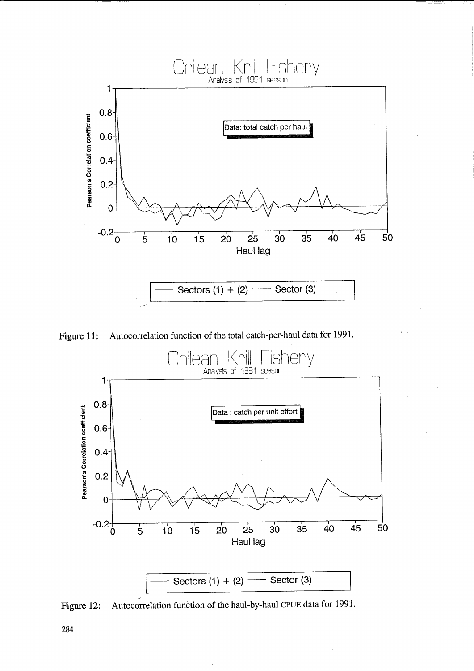

Figure 11: Autocorrelation function of the total catch-per-haul data for 1991.



Figure 12: Autocorrelation function of the haul-by-haul CPUE data for 1991.

284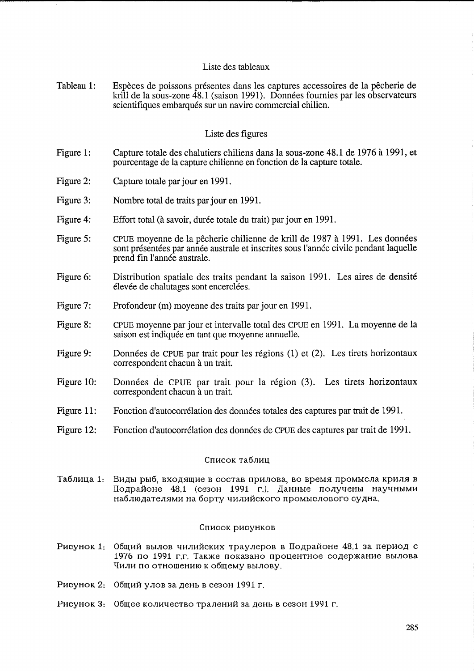## Liste des tableaux

Tableau 1: Especes de poissons presentes dans les captures accessoires de la pecherie de krill de la sous-zone 48.1 (saison 1991). Données fournies par les observateurs scientifiques embarqués sur un navire commercial chilien.

## Liste des figures

- Figure 1: Capture totale des chalutiers chiliens dans la sous-zone 48.1 de 1976 a 1991, et pourcentage de la capture chilienne en fonction de la capture totale.
- Figure 2: Capture totale par jour en 1991.
- Figure 3: Nombre total de traits par jour en 1991.
- Figure 4: Effort total (à savoir, durée totale du trait) par jour en 1991.
- Figure 5: CPUE moyenne de la pecherie chilienne de krill de 1987 a 1991. Les donnees sont présentées par année australe et inscrites sous l'année civile pendant laquelle prend fin l'annee australe.
- Figure 6: Distribution spatiale des traits pendant la saison 1991. Les aires de densite élevée de chalutages sont encerclées.
- Figure 7: Profondeur (m) moyenne des traits par jour en 1991.
- Figure 8: CPUE moyenne par jour et intervalle total des CPUE en 1991. La moyenne de la saison est indiquée en tant que moyenne annuelle.
- Figure 9: Données de CPUE par trait pour les régions (1) et (2). Les tirets horizontaux correspondent chacun a un trait.
- Figure 10: Données de CPUE par trait pour la région (3). Les tirets horizontaux correspondent chacun à un trait.
- Figure 11: Fonction d'autocorrélation des données totales des captures par trait de 1991.
- Figure 12: Fonction d'autocorrélation des données de CPUE des captures par trait de 1991.

### Список таблиц

Tаблица 1: Виды рыб, входящие в состав прилова, во время промысла криля в Подрайоне 48.1 (сезон 1991 г.). Данные получены научными наблюдателями на борту чилийского промыслового судна.

## Список рисунков

- Рисунок 1: Общий вылов чилийских траулеров в Подрайоне 48.1 за период с 1976 по 1991 г.г. Также показано процентное содержание вылова Чили по отношению к общему вылову.
- Рисунок 2: Общий улов за день в сезон 1991 г.
- Рисунок 3: Общее количество тралений за день в сезон 1991 г.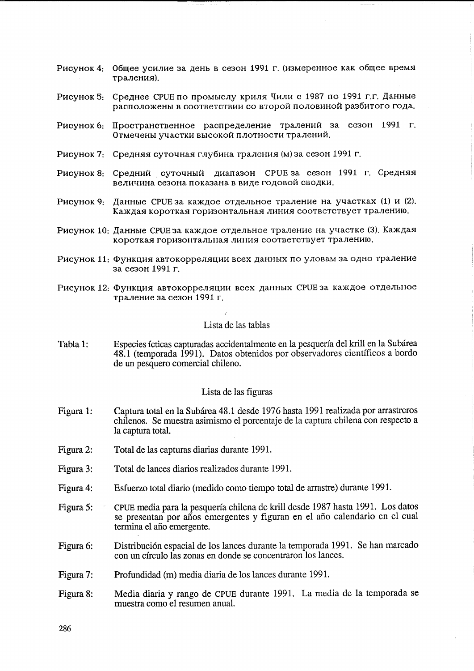- Рисунок 4: Общее усилие за день в сезон 1991 г. (измеренное как общее время траления).
- Рисунок 5: Среднее СРСЕ по промыслу криля Чили с 1987 по 1991 г.г. Данные расположены в соответствии со второй половиной разбитого года.
- Рисунок 6: Пространственное распределение тралений за сезон 1991 г. Отмечены участки высокой плотности тралений.
- Рисунок 7: Средняя суточная глубина траления (м) за сезон 1991 г.
- Рисунок 8: Средний суточный диапазон СРUЕ за сезон 1991 г. Средняя величина сезона показана в виде годовой сводки.
- Рисунок 9: Данные СРUЕ за каждое отдельное траление на участках (1) и (2). Каждая короткая горизонтальная линия соответствует тралению.
- Рисунок 10: Данные CPUE за каждое отдельное траление на участке (3). Каждая короткая горизонтальная линия соответствует тралению.
- Рисунок 11: Функция автокорреляции всех данных по уловам за одно траление за сезон 1991 г.
- Рисунок 12: Функция автокорреляции всех данных CPUE за каждое отдельное траление за сезон 1991 г.

### Lista de las tablas

Tabla 1: Especies ícticas capturadas accidentalmente en la pesquería del krill en la Subárea 48.1 (temporada 1991). Datos obtenidos por observadores científicos a bordo de un pesquero comercial chileno.

### Lista de las figuras

- Captura total en la Subárea 48.1 desde 1976 hasta 1991 realizada por arrastreros Figura 1: chilenos. Se muestra asimismo el porcentaje de la captura chilena con respecto a la captura total.
- Figura 2: Total de las capturas diarias durante 1991.
- Total de lances diarios realizados durante 1991. Figura 3:
- Esfuerzo total diario (medido como tiempo total de arrastre) durante 1991. Figura 4:
- CPUE media para la pesquería chilena de krill desde 1987 hasta 1991. Los datos Figura 5: se presentan por años emergentes y figuran en el año calendario en el cual termina el año emergente.
- Distribución espacial de los lances durante la temporada 1991. Se han marcado Figura 6: con un círculo las zonas en donde se concentraron los lances.
- Figura 7: Profundidad (m) media diaria de los lances durante 1991.
- Media diaria y rango de CPUE durante 1991. La media de la temporada se Figura 8: muestra como el resumen anual.